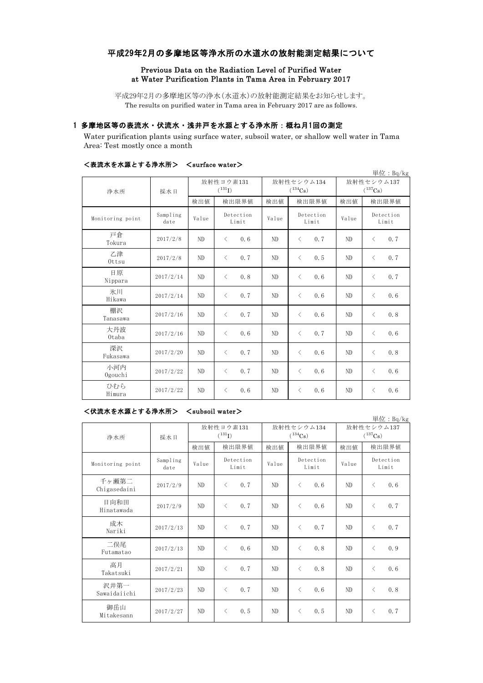## 平成29年2月の多摩地区等浄水所の水道水の放射能測定結果について

### Previous Data on the Radiation Level of Purified Water at Water Purification Plants in Tama Area in February 2017

平成29年2月の多摩地区等の浄水(水道水)の放射能測定結果をお知らせします。 The results on purified water in Tama area in February 2017 are as follows.

## 1 多摩地区等の表流水・伏流水・浅井戸を水源とする浄水所:概ね月1回の測定

Water purification plants using surface water, subsoil water, or shallow well water in Tama Area: Test mostly once a month

|                  |                  |                          |                    |       |                            |                            | 単位: Bq/kg          |  |
|------------------|------------------|--------------------------|--------------------|-------|----------------------------|----------------------------|--------------------|--|
| 浄水所              | 採水日              | 放射性ヨウ素131<br>$(^{131}I)$ |                    |       | 放射性セシウム134<br>$(^{134}Cs)$ | 放射性セシウム137<br>$(^{137}Cs)$ |                    |  |
|                  |                  | 検出値                      | 検出限界値              | 検出値   | 検出限界値                      | 検出値                        | 検出限界値              |  |
| Monitoring point | Sampling<br>date | Value                    | Detection<br>Limit | Value | Detection<br>Limit         | Value                      | Detection<br>Limit |  |
| 戸倉<br>Tokura     | 2017/2/8         | N <sub>D</sub>           | 0.6<br>$\langle$   | ND    | 0.7<br>$\langle$           | N <sub>D</sub>             | 0.7<br>$\lt$       |  |
| 乙津<br>Ottsu      | 2017/2/8         | ND                       | $\langle$<br>0.7   | ND    | $\langle$<br>0.5           | ND                         | 0.7<br>$\langle$   |  |
| 日原<br>Nippara    | 2017/2/14        | ND                       | $\,$ $\,$<br>0.8   | ND    | $\langle$<br>0.6           | ND                         | 0.7<br>$\langle$   |  |
| 氷川<br>Hikawa     | 2017/2/14        | ND                       | 0.7<br>$\langle$   | ND    | $\langle$<br>0.6           | N <sub>D</sub>             | 0.6<br>$\langle$   |  |
| 棚沢<br>Tanasawa   | 2017/2/16        | ND                       | 0.7<br>$\langle$   | ND    | 0.6<br>$\langle$           | ND                         | 0.8<br>$\langle$   |  |
| 大丹波<br>0taba     | 2017/2/16        | ND                       | $\langle$<br>0.6   | ND    | $\langle$<br>0.7           | ND                         | 0.6<br>$\langle$   |  |
| 深沢<br>Fukasawa   | 2017/2/20        | N <sub>D</sub>           | $\langle$<br>0.7   | ND    | $\langle$<br>0.6           | ND                         | 0.8<br>$\langle$   |  |
| 小河内<br>Ogouchi   | 2017/2/22        | N <sub>D</sub>           | 0.7<br>$\langle$   | ND    | $\langle$<br>0.6           | ND                         | 0.6<br>$\langle$   |  |
| ひむら<br>Himura    | 2017/2/22        | ND                       | 0.6<br>$\langle$   | ND    | 0.6<br>$\lt$               | ND                         | 0.6<br>$\lt$       |  |

### <表流水を水源とする浄水所> <surface water>

#### <伏流水を水源とする浄水所> <subsoil water>

単位:Bq/kg 検出値 検出限界値 検出限界値 検出値 Monitoring point Sampling<br>date mpiing Value Deceetion Value Deceetion Value 千ヶ瀬第二 Chigasedaini 2017/2/9 ND  $\langle 0.7 \rangle$  ND  $\langle 0.6 \rangle$  ND  $\langle 0.6 \rangle$ 日向和田 Hinatawada 2017/2/9 ND <sup>&</sup>lt; 0.7 ND <sup>&</sup>lt; 0.6 ND <sup>&</sup>lt; 0.7 成木<br>Nariki Nariki 2017/2/13 ND <sup>&</sup>lt; 0.7 ND <sup>&</sup>lt; 0.7 ND <sup>&</sup>lt; 0.7 二俣尾 Futamatao 2017/2/13 ND <sup>&</sup>lt; 0.6 ND <sup>&</sup>lt; 0.8 ND <sup>&</sup>lt; 0.9 高月 Takatsuki 2017/2/21 ND <sup>&</sup>lt; 0.7 ND <sup>&</sup>lt; 0.8 ND <sup>&</sup>lt; 0.6 沢井第一 Sawaidaiichi 2017/2/23 ND <sup>&</sup>lt; 0.7 ND <sup>&</sup>lt; 0.6 ND <sup>&</sup>lt; 0.8 御岳山 Mitakesann 2017/2/27 ND < 0.5 ND < 0.5 ND < 0.7 浄水所 採水日 Detection Limit Detection Limit 放射性ヨウ素131  $(^{131}I)$ 放射性セシウム134  $(^{134}Cs)$ 放射性セシウム137  $(^{137}Cs)$ 検出限界値 検出限界値 検出限界値 Detection Limit